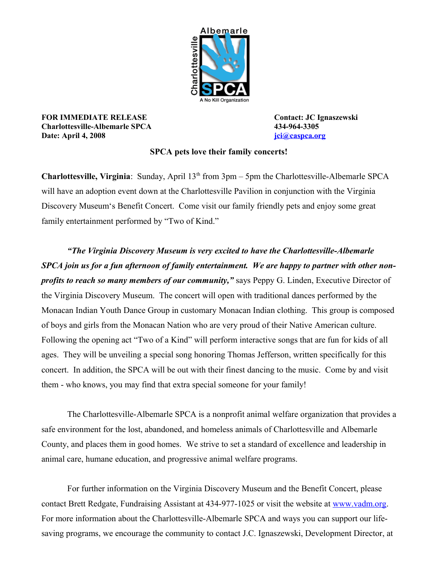

**FOR IMMEDIATE RELEASE CONTACT CONTACT CONTACT:** JC Ignaszewski **Charlottesville-Albemarle SPCA 434-964-3305 Date:** April 4, 2008 *[jci@caspca.org](mailto:director@caspca.org)* 

## **SPCA pets love their family concerts!**

**Charlottesville, Virginia**: Sunday, April 13<sup>th</sup> from 3pm – 5pm the Charlottesville-Albemarle SPCA will have an adoption event down at the Charlottesville Pavilion in conjunction with the Virginia Discovery Museum's Benefit Concert. Come visit our family friendly pets and enjoy some great family entertainment performed by "Two of Kind."

*"The Virginia Discovery Museum is very excited to have the Charlottesville-Albemarle SPCA join us for a fun afternoon of family entertainment. We are happy to partner with other nonprofits to reach so many members of our community,"* says Peppy G. Linden, Executive Director of the Virginia Discovery Museum. The concert will open with traditional dances performed by the Monacan Indian Youth Dance Group in customary Monacan Indian clothing. This group is composed of boys and girls from the Monacan Nation who are very proud of their Native American culture. Following the opening act "Two of a Kind" will perform interactive songs that are fun for kids of all ages. They will be unveiling a special song honoring Thomas Jefferson, written specifically for this concert. In addition, the SPCA will be out with their finest dancing to the music. Come by and visit them - who knows, you may find that extra special someone for your family!

The Charlottesville-Albemarle SPCA is a nonprofit animal welfare organization that provides a safe environment for the lost, abandoned, and homeless animals of Charlottesville and Albemarle County, and places them in good homes. We strive to set a standard of excellence and leadership in animal care, humane education, and progressive animal welfare programs.

For further information on the Virginia Discovery Museum and the Benefit Concert, please contact Brett Redgate, Fundraising Assistant at 434-977-1025 or visit the website at [www.vadm.org.](http://www.vadm.org/) For more information about the Charlottesville-Albemarle SPCA and ways you can support our lifesaving programs, we encourage the community to contact J.C. Ignaszewski, Development Director, at